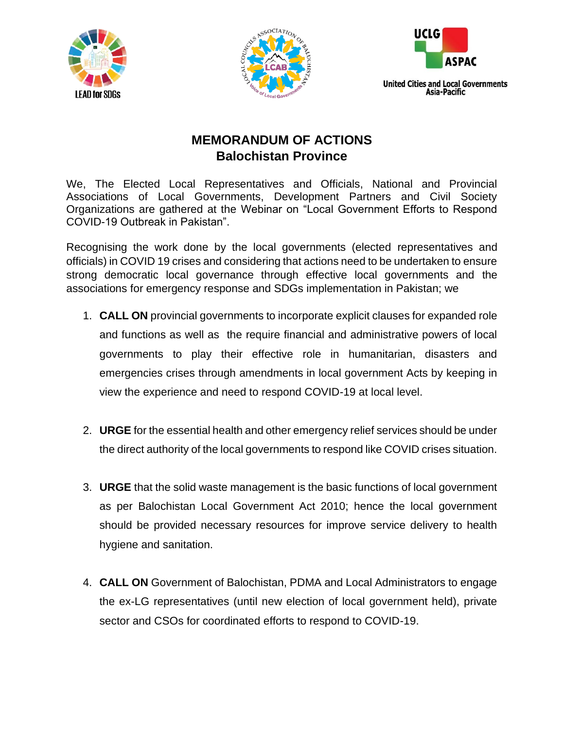





## **MEMORANDUM OF ACTIONS Balochistan Province**

We, The Elected Local Representatives and Officials, National and Provincial Associations of Local Governments, Development Partners and Civil Society Organizations are gathered at the Webinar on "Local Government Efforts to Respond COVID-19 Outbreak in Pakistan".

Recognising the work done by the local governments (elected representatives and officials) in COVID 19 crises and considering that actions need to be undertaken to ensure strong democratic local governance through effective local governments and the associations for emergency response and SDGs implementation in Pakistan; we

- 1. **CALL ON** provincial governments to incorporate explicit clauses for expanded role and functions as well as the require financial and administrative powers of local governments to play their effective role in humanitarian, disasters and emergencies crises through amendments in local government Acts by keeping in view the experience and need to respond COVID-19 at local level.
- 2. **URGE** for the essential health and other emergency relief services should be under the direct authority of the local governments to respond like COVID crises situation.
- 3. **URGE** that the solid waste management is the basic functions of local government as per Balochistan Local Government Act 2010; hence the local government should be provided necessary resources for improve service delivery to health hygiene and sanitation.
- 4. **CALL ON** Government of Balochistan, PDMA and Local Administrators to engage the ex-LG representatives (until new election of local government held), private sector and CSOs for coordinated efforts to respond to COVID-19.